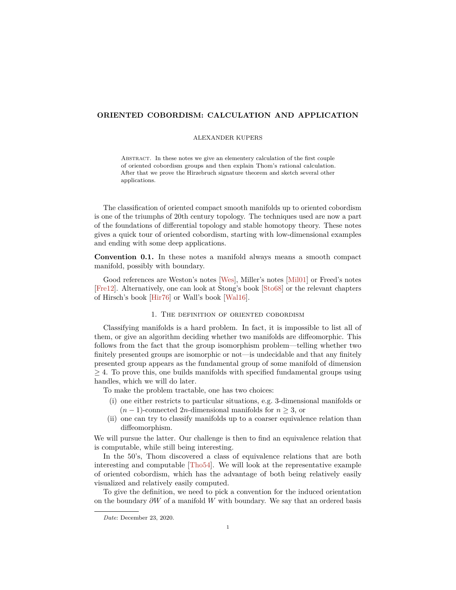## <span id="page-0-0"></span>**ORIENTED COBORDISM: CALCULATION AND APPLICATION**

### ALEXANDER KUPERS

Abstract. In these notes we give an elementery calculation of the first couple of oriented cobordism groups and then explain Thom's rational calculation. After that we prove the Hirzebruch signature theorem and sketch several other applications.

The classification of oriented compact smooth manifolds up to oriented cobordism is one of the triumphs of 20th century topology. The techniques used are now a part of the foundations of differential topology and stable homotopy theory. These notes gives a quick tour of oriented cobordism, starting with low-dimensional examples and ending with some deep applications.

**Convention 0.1.** In these notes a manifold always means a smooth compact manifold, possibly with boundary.

Good references are Weston's notes [\[Wes\]](#page-19-0), Miller's notes [\[Mil01\]](#page-18-0) or Freed's notes [\[Fre12\]](#page-18-1). Alternatively, one can look at Stong's book [\[Sto68\]](#page-19-1) or the relevant chapters of Hirsch's book [\[Hir76\]](#page-18-2) or Wall's book [\[Wal16\]](#page-19-2).

## 1. The definition of oriented cobordism

Classifying manifolds is a hard problem. In fact, it is impossible to list all of them, or give an algorithm deciding whether two manifolds are diffeomorphic. This follows from the fact that the group isomorphism problem—telling whether two finitely presented groups are isomorphic or not—is undecidable and that any finitely presented group appears as the fundamental group of some manifold of dimension  $\geq$  4. To prove this, one builds manifolds with specified fundamental groups using handles, which we will do later.

To make the problem tractable, one has two choices:

- (i) one either restricts to particular situations, e.g. 3-dimensional manifolds or  $(n-1)$ -connected 2*n*-dimensional manifolds for  $n \geq 3$ , or
- (ii) one can try to classify manifolds up to a coarser equivalence relation than diffeomorphism.

We will pursue the latter. Our challenge is then to find an equivalence relation that is computable, while still being interesting.

In the 50's, Thom discovered a class of equivalence relations that are both interesting and computable [\[Tho54\]](#page-19-3). We will look at the representative example of oriented cobordism, which has the advantage of both being relatively easily visualized and relatively easily computed.

To give the definition, we need to pick a convention for the induced orientation on the boundary *∂W* of a manifold *W* with boundary. We say that an ordered basis

*Date*: December 23, 2020.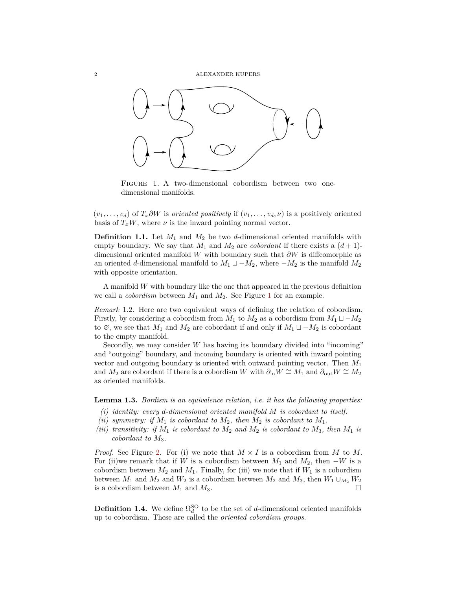

<span id="page-1-0"></span>Figure 1. A two-dimensional cobordism between two onedimensional manifolds.

 $(v_1, \ldots, v_d)$  of  $T_x \partial W$  is *oriented positively* if  $(v_1, \ldots, v_d, \nu)$  is a positively oriented basis of  $T_xW$ , where  $\nu$  is the inward pointing normal vector.

**Definition 1.1.** Let *M*<sup>1</sup> and *M*<sup>2</sup> be two *d*-dimensional oriented manifolds with empty boundary. We say that  $M_1$  and  $M_2$  are *cobordant* if there exists a  $(d+1)$ dimensional oriented manifold *W* with boundary such that *∂W* is diffeomorphic as an oriented *d*-dimensional manifold to  $M_1 \sqcup -M_2$ , where  $-M_2$  is the manifold  $M_2$ with opposite orientation.

A manifold *W* with boundary like the one that appeared in the previous definition we call a *cobordism* between  $M_1$  $M_1$  and  $M_2$ . See Figure 1 for an example.

*Remark* 1.2*.* Here are two equivalent ways of defining the relation of cobordism. Firstly, by considering a cobordism from  $M_1$  to  $M_2$  as a cobordism from  $M_1 \sqcup -M_2$ to  $\emptyset$ , we see that  $M_1$  and  $M_2$  are cobordant if and only if  $M_1 \sqcup -M_2$  is cobordant to the empty manifold.

Secondly, we may consider *W* has having its boundary divided into "incoming" and "outgoing" boundary, and incoming boundary is oriented with inward pointing vector and outgoing boundary is oriented with outward pointing vector. Then *M*<sup>1</sup> and  $M_2$  are cobordant if there is a cobordism *W* with  $\partial_{\text{in}}W \cong M_1$  and  $\partial_{\text{out}}W \cong M_2$ as oriented manifolds.

**Lemma 1.3.** *Bordism is an equivalence relation, i.e. it has the following properties:*

- *(i) identity: every d-dimensional oriented manifold M is cobordant to itself.*
- *(ii) symmetry: if*  $M_1$  *is cobordant to*  $M_2$ *, then*  $M_2$  *is cobordant to*  $M_1$ *.*
- *(iii) transitivity: if*  $M_1$  *is cobordant to*  $M_2$  *and*  $M_2$  *is cobordant to*  $M_3$ *, then*  $M_1$  *is cobordant to M*3*.*

*Proof.* See Figure [2.](#page-2-0) For (i) we note that  $M \times I$  is a cobordism from M to M. For (ii)we remark that if *W* is a cobordism between  $M_1$  and  $M_2$ , then  $-W$  is a cobordism between  $M_2$  and  $M_1$ . Finally, for (iii) we note that if  $W_1$  is a cobordism between  $M_1$  and  $M_2$  and  $W_2$  is a cobordism between  $M_2$  and  $M_3$ , then  $W_1 \cup_{M_2} W_2$ is a cobordism between  $M_1$  and  $M_3$ .

**Definition 1.4.** We define  $\Omega_d^{\text{SO}}$  to be the set of *d*-dimensional oriented manifolds up to cobordism. These are called the *oriented cobordism groups*.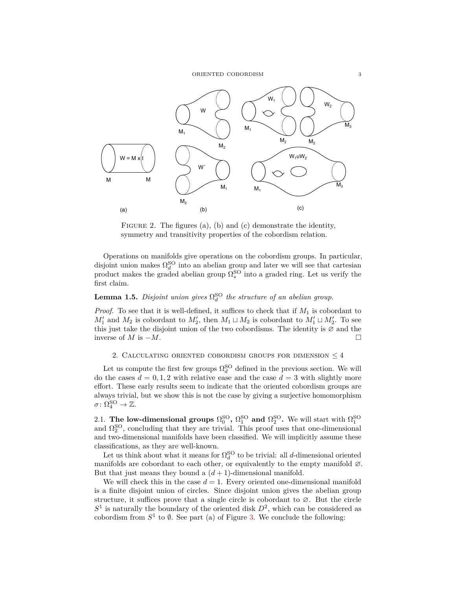

<span id="page-2-0"></span>FIGURE 2. The figures (a), (b) and (c) demonstrate the identity, symmetry and transitivity properties of the cobordism relation.

Operations on manifolds give operations on the cobordism groups. In particular, disjoint union makes  $\Omega_d^{\text{SO}}$  into an abelian group and later we will see that cartesian product makes the graded abelian group  $\Omega_*^{\text{SO}}$  into a graded ring. Let us verify the first claim.

# **Lemma 1.5.** *Disjoint union gives*  $\Omega_d^{\text{SO}}$  *the structure of an abelian group.*

*Proof.* To see that it is well-defined, it suffices to check that if *M*<sup>1</sup> is cobordant to  $M'_1$  and  $M_2$  is cobordant to  $M'_2$ , then  $M_1 \sqcup M_2$  is cobordant to  $M'_1 \sqcup M'_2$ . To see this just take the disjoint union of the two cobordisms. The identity is  $\varnothing$  and the inverse of  $M$  is  $-M$ .

## 2. CALCULATING ORIENTED COBORDISM GROUPS FOR DIMENSION  $\leq 4$

Let us compute the first few groups  $\Omega_d^{\text{SO}}$  defined in the previous section. We will do the cases  $d = 0, 1, 2$  with relative ease and the case  $d = 3$  with slightly more effort. These early results seem to indicate that the oriented cobordism groups are always trivial, but we show this is not the case by giving a surjective homomorphism  $\sigma \colon \Omega_4^{\text{SO}} \to \mathbb{Z}.$ 

2.1. **The low-dimensional groups**  $\Omega_0^{\text{SO}}$ ,  $\Omega_1^{\text{SO}}$  and  $\Omega_2^{\text{SO}}$ . We will start with  $\Omega_1^{\text{SO}}$ and  $\Omega_2^{\text{SO}}$ , concluding that they are trivial. This proof uses that one-dimensional and two-dimensional manifolds have been classified. We will implicitly assume these classifications, as they are well-known.

Let us think about what it means for  $\Omega_d^{\text{SO}}$  to be trivial: all *d*-dimensional oriented manifolds are cobordant to each other, or equivalently to the empty manifold  $\varnothing$ . But that just means they bound a  $(d+1)$ -dimensional manifold.

We will check this in the case  $d = 1$ . Every oriented one-dimensional manifold is a finite disjoint union of circles. Since disjoint union gives the abelian group structure, it suffices prove that a single circle is cobordant to  $\varnothing$ . But the circle  $S<sup>1</sup>$  is naturally the boundary of the oriented disk  $D<sup>2</sup>$ , which can be considered as cobordism from  $S^1$  to  $\emptyset$ . See part (a) of Figure [3.](#page-3-0) We conclude the following: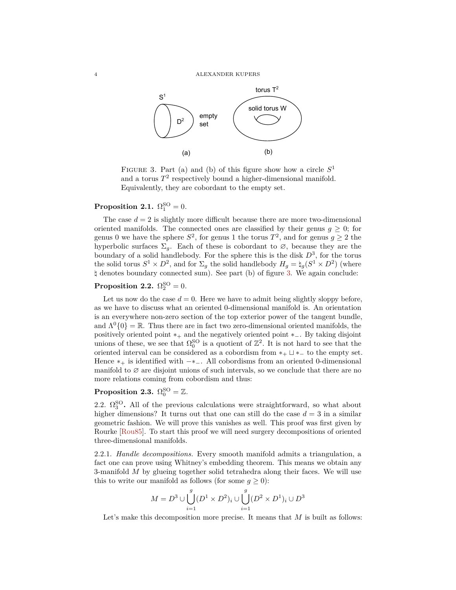<span id="page-3-1"></span>

<span id="page-3-0"></span>FIGURE 3. Part (a) and (b) of this figure show how a circle  $S<sup>1</sup>$ and a torus  $T^2$  respectively bound a higher-dimensional manifold. Equivalently, they are cobordant to the empty set.

# **Proposition 2.1.**  $\Omega_1^{\text{SO}} = 0$ .

The case  $d = 2$  is slightly more difficult because there are more two-dimensional oriented manifolds. The connected ones are classified by their genus  $q > 0$ ; for genus 0 we have the sphere  $S^2$ , for genus 1 the torus  $T^2$ , and for genus  $g \ge 2$  the hyperbolic surfaces  $\Sigma_q$ . Each of these is cobordant to  $\varnothing$ , because they are the boundary of a solid handlebody. For the sphere this is the disk *D*<sup>3</sup> , for the torus the solid torus  $S^1 \times D^2$ , and for  $\Sigma_g$  the solid handlebody  $H_g = \natural_g (S^1 \times D^2)$  (where *\* denotes boundary connected sum). See part (b) of figure [3.](#page-3-0) We again conclude:

# **Proposition 2.2.**  $\Omega_2^{\text{SO}} = 0$ .

Let us now do the case  $d = 0$ . Here we have to admit being slightly sloppy before, as we have to discuss what an oriented 0-dimensional manifold is. An orientation is an everywhere non-zero section of the top exterior power of the tangent bundle, and  $\Lambda^{0}\{0\} = \mathbb{R}$ . Thus there are in fact two zero-dimensional oriented manifolds, the positively oriented point ∗<sup>+</sup> and the negatively oriented point ∗−. By taking disjoint unions of these, we see that  $\Omega_0^{\text{SO}}$  is a quotient of  $\mathbb{Z}^2$ . It is not hard to see that the oriented interval can be considered as a cobordism from  $*_{+} \sqcup *_{-}$  to the empty set. Hence  $*_{+}$  is identified with  $-*_{-}$ . All cobordisms from an oriented 0-dimensional manifold to  $\varnothing$  are disjoint unions of such intervals, so we conclude that there are no more relations coming from cobordism and thus:

# **Proposition 2.3.**  $\Omega_0^{\text{SO}} = \mathbb{Z}$ .

2.2.  $\Omega_3^{\text{SO}}$ . All of the previous calculations were straightforward, so what about higher dimensions? It turns out that one can still do the case  $d = 3$  in a similar geometric fashion. We will prove this vanishes as well. This proof was first given by Rourke [\[Rou85\]](#page-18-3). To start this proof we will need surgery decompositions of oriented three-dimensional manifolds.

2.2.1. *Handle decompositions.* Every smooth manifold admits a triangulation, a fact one can prove using Whitney's embedding theorem. This means we obtain any 3-manifold *M* by glueing together solid tetrahedra along their faces. We will use this to write our manifold as follows (for some  $g \geq 0$ ):

$$
M = D^{3} \cup \bigcup_{i=1}^{g} (D^{1} \times D^{2})_{i} \cup \bigcup_{i=1}^{g} (D^{2} \times D^{1})_{i} \cup D^{3}
$$

Let's make this decomposition more precise. It means that *M* is built as follows: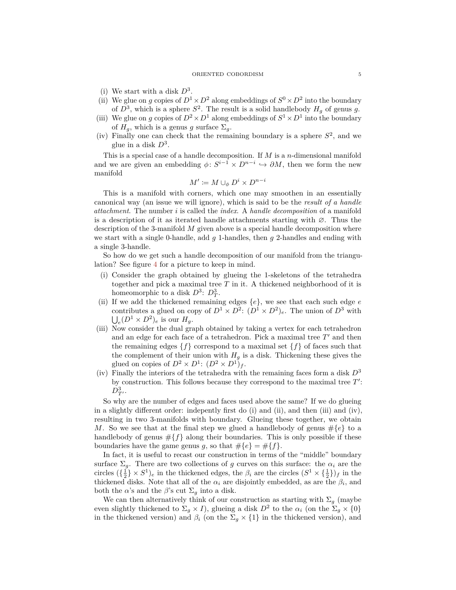#### ORIENTED COBORDISM 5

- (i) We start with a disk  $D^3$ .
- (ii) We glue on *g* copies of  $D^1 \times D^2$  along embeddings of  $S^0 \times D^2$  into the boundary of  $D^3$ , which is a sphere  $S^2$ . The result is a solid handlebody  $H_g$  of genus g.
- (iii) We glue on *g* copies of  $D^2 \times D^1$  along embeddings of  $S^1 \times D^1$  into the boundary of  $H_q$ , which is a genus *g* surface  $\Sigma_q$ .
- (iv) Finally one can check that the remaining boundary is a sphere  $S^2$ , and we glue in a disk *D*<sup>3</sup> .

This is a special case of a handle decomposition. If *M* is a *n*-dimensional manifold and we are given an embedding  $\phi: S^{i-1} \times D^{n-i} \hookrightarrow \partial M$ , then we form the new manifold

$$
M' \coloneqq M \cup_\phi D^i \times D^{n-i}
$$

This is a manifold with corners, which one may smoothen in an essentially canonical way (an issue we will ignore), which is said to be the *result of a handle attachment*. The number *i* is called the *index*. A *handle decomposition* of a manifold is a description of it as iterated handle attachments starting with ∅. Thus the description of the 3-manifold *M* given above is a special handle decomposition where we start with a single 0-handle, add *g* 1-handles, then *g* 2-handles and ending with a single 3-handle.

So how do we get such a handle decomposition of our manifold from the triangulation? See figure [4](#page-5-0) for a picture to keep in mind.

- (i) Consider the graph obtained by glueing the 1-skeletons of the tetrahedra together and pick a maximal tree *T* in it. A thickened neighborhood of it is homeomorphic to a disk  $D^3$ :  $D_T^3$ .
- (ii) If we add the thickened remaining edges {*e*}, we see that each such edge *e* contributes a glued on copy of  $D^1 \times D^2$ :  $(D^1 \times D^2)_e$ . The union of  $D^3$  with  $\bigcup_{e} (D^1 \times D^2)_e$  is our  $H_g$ .
- (iii) Now consider the dual graph obtained by taking a vertex for each tetrahedron and an edge for each face of a tetrahedron. Pick a maximal tree  $T'$  and then the remaining edges  $\{f\}$  correspond to a maximal set  $\{f\}$  of faces such that the complement of their union with  $H<sub>q</sub>$  is a disk. Thickening these gives the glued on copies of  $D^2 \times D^1$ :  $(D^2 \times D^1)_f$ .
- (iv) Finally the interiors of the tetrahedra with the remaining faces form a disk  $D^3$ by construction. This follows because they correspond to the maximal tree  $T'$ :  $D^3_{T^{\prime}}$ .

So why are the number of edges and faces used above the same? If we do glueing in a slightly different order: indepently first do  $(i)$  and  $(ii)$ , and then  $(iii)$  and  $(iv)$ , resulting in two 3-manifolds with boundary. Glueing these together, we obtain *M*. So we see that at the final step we glued a handlebody of genus  $\#\{e\}$  to a handlebody of genus  $\#\{f\}$  along their boundaries. This is only possible if these boundaries have the game genus *g*, so that  $\#\{e\} = \#\{f\}.$ 

In fact, it is useful to recast our construction in terms of the "middle" boundary surface  $\Sigma_q$ . There are two collections of *g* curves on this surface: the  $\alpha_i$  are the circles  $(\{\frac{1}{2}\}\times S^1)_e$  in the thickened edges, the  $\beta_i$  are the circles  $(S^1\times{\{\frac{1}{2}\}})_f$  in the thickened disks. Note that all of the  $\alpha_i$  are disjointly embedded, as are the  $\beta_i$ , and both the *α*'s and the *β*'s cut  $\Sigma_g$  into a disk.

We can then alternatively think of our construction as starting with  $\Sigma_g$  (maybe even slightly thickened to  $\Sigma_g \times I$ ), glueing a disk  $D^2$  to the  $\alpha_i$  (on the  $\Sigma_g \times \{0\}$ in the thickened version) and  $\beta_i$  (on the  $\Sigma_q \times \{1\}$  in the thickened version), and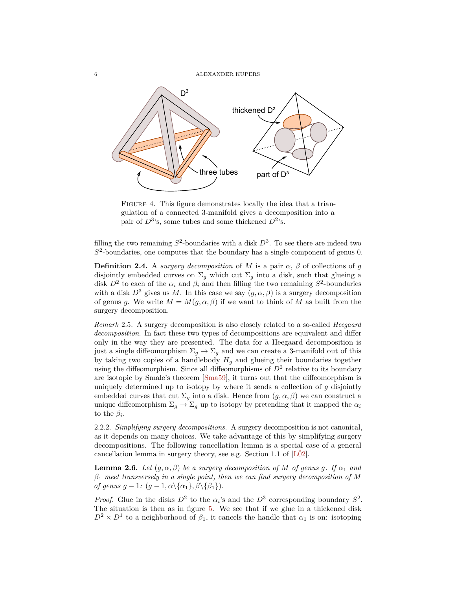<span id="page-5-2"></span>6 ALEXANDER KUPERS



<span id="page-5-0"></span>Figure 4. This figure demonstrates locally the idea that a triangulation of a connected 3-manifold gives a decomposition into a pair of  $D^3$ 's, some tubes and some thickened  $D^2$ 's.

filling the two remaining  $S^2$ -boundaries with a disk  $D^3$ . To see there are indeed two *S* 2 -boundaries, one computes that the boundary has a single component of genus 0.

**Definition 2.4.** A *surgery decomposition* of *M* is a pair  $\alpha$ ,  $\beta$  of collections of *g* disjointly embedded curves on  $\Sigma_q$  which cut  $\Sigma_q$  into a disk, such that glueing a disk  $D^2$  to each of the  $\alpha_i$  and  $\beta_i$  and then filling the two remaining  $S^2$ -boundaries with a disk  $D^3$  gives us M. In this case we say  $(q, \alpha, \beta)$  is a surgery decomposition of genus *g*. We write  $M = M(g, \alpha, \beta)$  if we want to think of M as built from the surgery decomposition.

*Remark* 2.5*.* A surgery decomposition is also closely related to a so-called *Heegaard decomposition*. In fact these two types of decompositions are equivalent and differ only in the way they are presented. The data for a Heegaard decomposition is just a single diffeomorphism  $\Sigma_g \to \Sigma_g$  and we can create a 3-manifold out of this by taking two copies of a handlebody  $H<sub>q</sub>$  and glueing their boundaries together using the diffeomorphism. Since all diffeomorphisms of  $D<sup>2</sup>$  relative to its boundary are isotopic by Smale's theorem [\[Sma59\]](#page-18-4), it turns out that the diffeomorphism is uniquely determined up to isotopy by where it sends a collection of *g* disjointly embedded curves that cut  $\Sigma_g$  into a disk. Hence from  $(g, \alpha, \beta)$  we can construct a unique diffeomorphism  $\Sigma_g \to \Sigma_g$  up to isotopy by pretending that it mapped the  $\alpha_i$ to the  $\beta_i$ .

2.2.2. *Simplifying surgery decompositions.* A surgery decomposition is not canonical, as it depends on many choices. We take advantage of this by simplifying surgery decompositions. The following cancellation lemma is a special case of a general cancellation lemma in surgery theory, see e.g. Section 1.1 of  $[L\ddot{0}2]$ .

<span id="page-5-1"></span>**Lemma 2.6.** *Let*  $(g, \alpha, \beta)$  *be a surgery decomposition of M of genus g. If*  $\alpha_1$  *and β*<sup>1</sup> *meet transversely in a single point, then we can find surgery decomposition of M of genus*  $g-1$ *:*  $(g-1, \alpha \setminus \{\alpha_1\}, \beta \setminus \{\beta_1\})$ *.* 

*Proof.* Glue in the disks  $D^2$  to the  $\alpha_i$ 's and the  $D^3$  corresponding boundary  $S^2$ . The situation is then as in figure [5.](#page-6-0) We see that if we glue in a thickened disk  $D^2 \times D^1$  to a neighborhood of  $\beta_1$ , it cancels the handle that  $\alpha_1$  is on: isotoping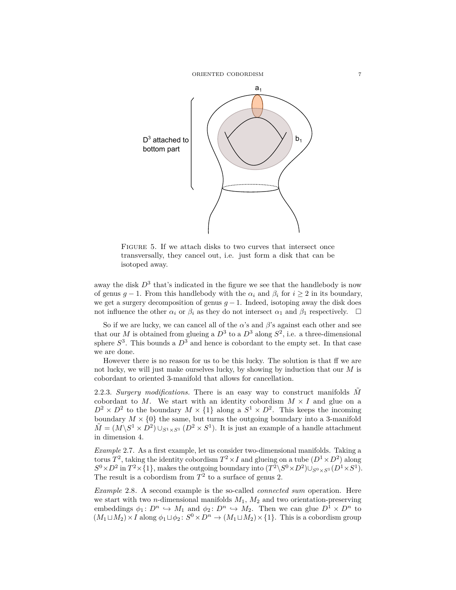

<span id="page-6-0"></span>FIGURE 5. If we attach disks to two curves that intersect once transversally, they cancel out, i.e. just form a disk that can be isotoped away.

away the disk  $D^3$  that's indicated in the figure we see that the handlebody is now of genus  $q-1$ . From this handlebody with the  $\alpha_i$  and  $\beta_i$  for  $i \geq 2$  in its boundary, we get a surgery decomposition of genus  $g - 1$ . Indeed, isotoping away the disk does not influence the other  $\alpha_i$  or  $\beta_i$  as they do not intersect  $\alpha_1$  and  $\beta_1$  respectively.  $\Box$ 

So if we are lucky, we can cancel all of the  $\alpha$ 's and  $\beta$ 's against each other and see that our *M* is obtained from glueing a  $D^3$  to a  $D^3$  along  $S^2$ , i.e. a three-dimensional sphere  $S^3$ . This bounds a  $D^3$  and hence is cobordant to the empty set. In that case we are done.

However there is no reason for us to be this lucky. The solution is that ff we are not lucky, we will just make ourselves lucky, by showing by induction that our *M* is cobordant to oriented 3-manifold that allows for cancellation.

2.2.3. *Surgery modifications.* There is an easy way to construct manifolds *M*˜ cobordant to *M*. We start with an identity cobordism  $M \times I$  and glue on a  $D^2 \times D^2$  to the boundary  $M \times \{1\}$  along a  $S^1 \times D^2$ . This keeps the incoming boundary  $M \times \{0\}$  the same, but turns the outgoing boundary into a 3-manifold  $\tilde{M} = (M \backslash S^1 \times D^2) \cup_{S^1 \times S^1} (D^2 \times S^1)$ . It is just an example of a handle attachment in dimension 4.

*Example* 2.7*.* As a first example, let us consider two-dimensional manifolds. Taking a torus  $T^2$ , taking the identity cobordism  $T^2 \times I$  and glueing on a tube  $(D^1 \times D^2)$  along  $S^0 \times D^2$  in  $T^2 \times \{1\}$ , makes the outgoing boundary into  $(T^2 \backslash S^0 \times D^2) \cup_{S^0 \times S^1} (D^1 \times S^1)$ . The result is a cobordism from  $T^2$  to a surface of genus 2.

*Example* 2.8*.* A second example is the so-called *connected sum* operation. Here we start with two *n*-dimensional manifolds *M*1, *M*<sup>2</sup> and two orientation-preserving embeddings  $\phi_1: D^n \hookrightarrow M_1$  and  $\phi_2: D^n \hookrightarrow M_2$ . Then we can glue  $D^1 \times D^n$  to  $(M_1 \sqcup M_2) \times I$  along  $\phi_1 \sqcup \phi_2$ :  $S^0 \times D^n \to (M_1 \sqcup M_2) \times \{1\}$ . This is a cobordism group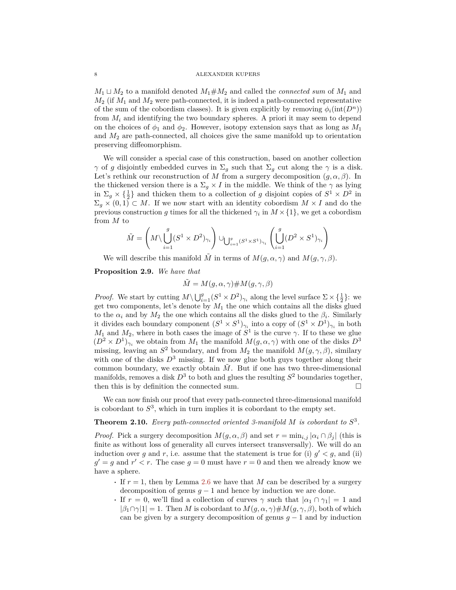$M_1 \sqcup M_2$  to a manifold denoted  $M_1 \# M_2$  and called the *connected sum* of  $M_1$  and  $M_2$  (if  $M_1$  and  $M_2$  were path-connected, it is indeed a path-connected representative of the sum of the cobordism classes). It is given explicitly by removing  $\phi_i(\text{int}(D^n))$ from *M<sup>i</sup>* and identifying the two boundary spheres. A priori it may seem to depend on the choices of  $\phi_1$  and  $\phi_2$ . However, isotopy extension says that as long as  $M_1$ and *M*<sup>2</sup> are path-connected, all choices give the same manifold up to orientation preserving diffeomorphism.

We will consider a special case of this construction, based on another collection *γ* of *g* disjointly embedded curves in  $\Sigma_g$  such that  $\Sigma_g$  cut along the *γ* is a disk. Let's rethink our reconstruction of *M* from a surgery decomposition  $(g, \alpha, \beta)$ . In the thickened version there is a  $\Sigma_g \times I$  in the middle. We think of the  $\gamma$  as lying in  $\Sigma_g \times {\frac{1}{2}}$  and thicken them to a collection of *g* disjoint copies of  $S^1 \times D^2$  in  $\Sigma_g \times (0,1) \subset M$ . If we now start with an identity cobordism  $M \times I$  and do the previous construction *g* times for all the thickened  $\gamma_i$  in  $M \times \{1\}$ , we get a cobordism from *M* to

$$
\tilde{M} = \left(M \setminus \bigcup_{i=1}^{g} (S^1 \times D^2)_{\gamma_i}\right) \cup_{\bigcup_{i=1}^{g} (S^1 \times S^1)_{\gamma_i}} \left(\bigcup_{i=1}^{g} (D^2 \times S^1)_{\gamma_i}\right)
$$

We will describe this manifold  $\tilde{M}$  in terms of  $M(g, \alpha, \gamma)$  and  $M(g, \gamma, \beta)$ .

**Proposition 2.9.** *We have that*

$$
\tilde{M} = M(g, \alpha, \gamma) \# M(g, \gamma, \beta)
$$

*Proof.* We start by cutting  $M \setminus \bigcup_{i=1}^{g} (S^1 \times D^2)_{\gamma_i}$  along the level surface  $\Sigma \times \{\frac{1}{2}\}\$ : we get two components, let's denote by  $M_1$  the one which contains all the disks glued to the  $\alpha_i$  and by  $M_2$  the one which contains all the disks glued to the  $\beta_i$ . Similarly it divides each boundary component  $(S^1 \times S^1)_{\gamma_i}$  into a copy of  $(S^1 \times D^1)_{\gamma_i}$  in both *M*<sub>1</sub> and *M*<sub>2</sub>, where in both cases the image of  $S^1$  is the curve  $\gamma$ . If to these we glue  $(D^2 \times D^1)_{\gamma_i}$  we obtain from  $M_1$  the manifold  $M(g, \alpha, \gamma)$  with one of the disks  $D^3$ missing, leaving an  $S^2$  boundary, and from  $M_2$  the manifold  $M(g, \gamma, \beta)$ , similary with one of the disks  $D^3$  missing. If we now glue both guys together along their common boundary, we exactly obtain  $\tilde{M}$ . But if one has two three-dimensional manifolds, removes a disk  $D^3$  to both and glues the resulting  $S^2$  boundaries together, then this is by definition the connected sum.  $\Box$ 

We can now finish our proof that every path-connected three-dimensional manifold is cobordant to  $S<sup>3</sup>$ , which in turn implies it is cobordant to the empty set.

# **Theorem 2.10.** Every path-connected oriented 3-manifold  $M$  is cobordant to  $S^3$ .

*Proof.* Pick a surgery decomposition  $M(g, \alpha, \beta)$  and set  $r = \min_{i,j} |\alpha_i \cap \beta_j|$  (this is finite as without loss of generality all curves intersect transversally). We will do an induction over *g* and *r*, i.e. assume that the statement is true for (i)  $g' < g$ , and (ii)  $g' = g$  and  $r' < r$ . The case  $g = 0$  must have  $r = 0$  and then we already know we have a sphere.

- **·** If *r* = 1, then by Lemma [2.6](#page-5-1) we have that *M* can be described by a surgery decomposition of genus  $g - 1$  and hence by induction we are done.
- **•** If  $r = 0$ , we'll find a collection of curves  $\gamma$  such that  $|\alpha_1 \cap \gamma_1| = 1$  and  $|\beta_1 \cap \gamma|1| = 1$ . Then *M* is cobordant to  $M(g, \alpha, \gamma) \# M(g, \gamma, \beta)$ , both of which can be given by a surgery decomposition of genus  $q-1$  and by induction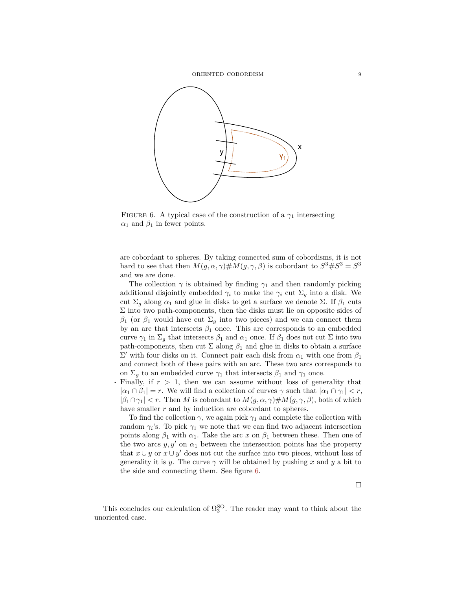

<span id="page-8-0"></span>FIGURE 6. A typical case of the construction of a  $\gamma_1$  intersecting  $\alpha_1$  and  $\beta_1$  in fewer points.

are cobordant to spheres. By taking connected sum of cobordisms, it is not hard to see that then  $M(g, \alpha, \gamma) \# M(g, \gamma, \beta)$  is cobordant to  $S^3 \# S^3 = S^3$ and we are done.

The collection  $\gamma$  is obtained by finding  $\gamma_1$  and then randomly picking additional disjointly embedded  $\gamma_i$  to make the  $\gamma_i$  cut  $\Sigma_q$  into a disk. We cut  $\Sigma_q$  along  $\alpha_1$  and glue in disks to get a surface we denote Σ. If  $\beta_1$  cuts  $\Sigma$  into two path-components, then the disks must lie on opposite sides of  $β_1$  (or  $β_1$  would have cut  $Σ_q$  into two pieces) and we can connect them by an arc that intersects  $\beta_1$  once. This arc corresponds to an embedded curve  $\gamma_1$  in  $\Sigma_g$  that intersects  $\beta_1$  and  $\alpha_1$  once. If  $\beta_1$  does not cut  $\Sigma$  into two path-components, then cut  $\Sigma$  along  $\beta_1$  and glue in disks to obtain a surface  $\Sigma'$  with four disks on it. Connect pair each disk from  $α_1$  with one from  $β_1$ and connect both of these pairs with an arc. These two arcs corresponds to on  $\Sigma_g$  to an embedded curve  $\gamma_1$  that intersects  $\beta_1$  and  $\gamma_1$  once.

**·** Finally, if *r >* 1, then we can assume without loss of generality that  $|a_1 \cap \beta_1| = r$ . We will find a collection of curves  $\gamma$  such that  $|a_1 \cap \gamma_1| < r$ ,  $|\beta_1 \cap \gamma_1|$  *< r*. Then *M* is cobordant to  $M(g, \alpha, \gamma) \# M(g, \gamma, \beta)$ , both of which have smaller *r* and by induction are cobordant to spheres.

To find the collection  $\gamma$ , we again pick  $\gamma_1$  and complete the collection with random  $\gamma_i$ 's. To pick  $\gamma_1$  we note that we can find two adjacent intersection points along  $\beta_1$  with  $\alpha_1$ . Take the arc *x* on  $\beta_1$  between these. Then one of the two arcs  $y, y'$  on  $\alpha_1$  between the intersection points has the property that  $x \cup y$  or  $x \cup y'$  does not cut the surface into two pieces, without loss of generality it is *y*. The curve  $\gamma$  will be obtained by pushing *x* and *y* a bit to the side and connecting them. See figure [6.](#page-8-0)

This concludes our calculation of  $\Omega_3^{\text{SO}}$ . The reader may want to think about the unoriented case.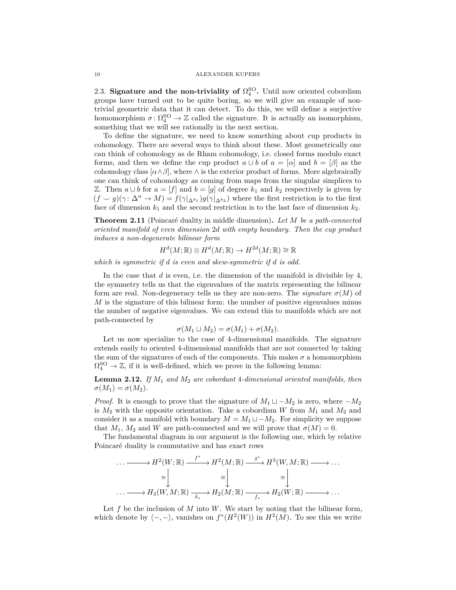2.3. **Signature and the non-triviality of**  $\Omega_4^{\text{SO}}$ **. Until now oriented cobordism** groups have turned out to be quite boring, so we will give an example of nontrivial geometric data that it can detect. To do this, we will define a surjective homomorphism  $\sigma \colon \Omega_4^{SO} \to \mathbb{Z}$  called the signature. It is actually an isomorphism, something that we will see rationally in the next section.

To define the signature, we need to know something about cup products in cohomology. There are several ways to think about these. Most geometrically one can think of cohomology as de Rham cohomology, i.e. closed forms modulo exact forms, and then we define the cup product  $a \cup b$  of  $a = [\alpha]$  and  $b = [\beta]$  as the cohomology class  $[\alpha \land \beta]$ , where  $\land$  is the exterior product of forms. More algebraically one can think of cohomology as coming from maps from the singular simplices to *Z*. Then *a* ∪ *b* for *a* = [*f*] and *b* = [*g*] of degree  $k_1$  and  $k_2$  respectively is given by  $(f \smile g)(\gamma : \Delta^n \rightarrow M) = f(\gamma |_{\Delta^{k_1}})g(\gamma |_{\Delta^{k_2}})$  where the first restriction is to the first face of dimension  $k_1$  and the second restriction is to the last face of dimension  $k_2$ .

**Theorem 2.11** (Poincaré duality in middle dimension). Let M be a path-connected *oriented manifold of even dimension* 2*d with empty boundary. Then the cup product induces a non-degenerate bilinear form*

$$
H^d(M; \mathbb{R}) \otimes H^d(M; \mathbb{R}) \to H^{2d}(M; \mathbb{R}) \cong \mathbb{R}
$$

*which is symmetric if d is even and skew-symmetric if d is odd.*

In the case that *d* is even, i.e. the dimension of the manifold is divisible by 4, the symmetry tells us that the eigenvalues of the matrix representing the bilinear form are real. Non-degeneracy tells us they are non-zero. The *signature*  $\sigma(M)$  of *M* is the signature of this bilinear form: the number of positive eigenvalues minus the number of negative eigenvalues. We can extend this to manifolds which are not path-connected by

$$
\sigma(M_1 \sqcup M_2) = \sigma(M_1) + \sigma(M_2).
$$

Let us now specialize to the case of 4-dimensional manifolds. The signature extends easily to oriented 4-dimensional manifolds that are not connected by taking the sum of the signatures of each of the components. This makes  $\sigma$  a homomorphism  $\Omega_4^{\text{SO}} \to \mathbb{Z}$ , if it is well-defined, which we prove in the following lemma:

**Lemma 2.12.** *If M*<sup>1</sup> *and M*<sup>2</sup> *are cobordant* 4*-dimensional oriented manifolds, then*  $\sigma(M_1) = \sigma(M_2)$ .

*Proof.* It is enough to prove that the signature of  $M_1 \sqcup -M_2$  is zero, where  $-M_2$ is  $M_2$  with the opposite orientation. Take a cobordism W from  $M_1$  and  $M_2$  and consider it as a manifold with boundary  $M = M_1 \sqcup -M_2$ . For simplicity we suppose that  $M_1$ ,  $M_2$  and *W* are path-connected and we will prove that  $\sigma(M) = 0$ .

The fundamental diagram in our argument is the following one, which by relative Poincaré duality is commutative and has exact rows

$$
\cdots \longrightarrow H^{2}(W; \mathbb{R}) \xrightarrow{f^{*}} H^{2}(M; \mathbb{R}) \xrightarrow{\delta^{*}} H^{3}(W, M; \mathbb{R}) \longrightarrow \cdots
$$

$$
\cong \begin{vmatrix} \vdots \\ \vdots \\ \vdots \\ \vdots \\ \vdots \\ \vdots \end{vmatrix} \cong \begin{vmatrix} \vdots \\ \vdots \\ \vdots \\ \vdots \\ \vdots \\ \vdots \end{vmatrix} \cong \begin{vmatrix} \vdots \\ \vdots \\ \vdots \\ \vdots \\ \vdots \\ \vdots \end{vmatrix} \cong \begin{vmatrix} \vdots \\ \vdots \\ \vdots \\ \vdots \\ \vdots \end{vmatrix} \longrightarrow \cdots
$$

Let *f* be the inclusion of *M* into *W*. We start by noting that the bilinear form, which denote by  $\langle -, - \rangle$ , vanishes on  $f^*(H^2(W))$  in  $H^2(M)$ . To see this we write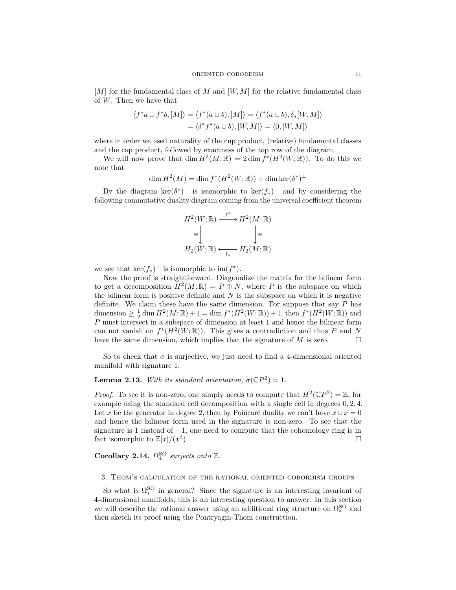[*M*] for the fundamental class of *M* and [*W, M*] for the relative fundamental class of *W*. Then we have that

$$
\langle f^*a \cup f^*b, [M] \rangle = \langle f^*(a \cup b), [M] \rangle = \langle f^*(a \cup b), \delta_*[W, M] \rangle
$$
  
=  $\langle \delta^* f^*(a \cup b), [W, M] \rangle = \langle 0, [W, M] \rangle$ 

where in order we used naturality of the cup product, (relative) fundamental classes and the cap product, followed by exactness of the top row of the diagram.

We will now prove that  $\dim H^2(M;\mathbb{R}) = 2 \dim f^*(H^2(W;\mathbb{R}))$ . To do this we note that

$$
\dim H^2(M) = \dim f^*(H^2(W; \mathbb{R})) + \dim \ker (\delta^*)^{\perp}
$$

By the diagram  $\ker(\delta^*)^{\perp}$  is isomorphic to  $\ker(f_*)^{\perp}$  and by considering the following commutative duality diagram coming from the universal coefficient theorem

$$
H^2(W; \mathbb{R}) \xrightarrow{f^*} H^2(M; \mathbb{R})
$$
  
\n
$$
\cong \bigcup_{\mathcal{H}_2(W; \mathbb{R})} \bigcup_{\substack{\longleftarrow \\ f_*}} H_2(M; \mathbb{R})
$$

we see that  $\ker(f_*)^{\perp}$  is isomorphic to  $\text{im}(f^*)$ .

Now the proof is straightforward. Diagonalize the matrix for the bilinear form to get a decomposition  $H^2(M; \mathbb{R}) = P \oplus N$ , where P is the subspace on which the bilinear form is positive definite and  $N$  is the subspace on which it is negative definite. We claim these have the same dimension. For suppose that say *P* has dimension  $\geq \frac{1}{2} \dim H^2(M; \mathbb{R}) + 1 = \dim f^*(H^2(W; \mathbb{R})) + 1$ , then  $f^*(H^2(W; \mathbb{R}))$  and *P* must intersect in a subspace of dimension at least 1 and hence the bilinear form can not vanish on  $f^*(H^2(W;\mathbb{R}))$ . This gives a contradiction and thus *P* and *N* have the same dimension, which implies that the signature of *M* is zero.

So to check that  $\sigma$  is surjective, we just need to find a 4-dimensional oriented manifold with signature 1.

# **Lemma 2.13.** *With its standard orientation,*  $\sigma(\mathbb{C}P^2) = 1$ *.*

*Proof.* To see it is non-zero, one simply needs to compute that  $H^2(\mathbb{C}P^2) = \mathbb{Z}$ , for example using the standard cell decomposition with a single cell in degrees 0*,* 2*,* 4. Let *x* be the generator in degree 2, then by Poincaré duality we can't have  $x \cup x = 0$ and hence the bilinear form used in the signature is non-zero. To see that the signature is 1 instead of  $-1$ , one need to compute that the cohomology ring is in fact isomorphic to  $\mathbb{Z}[x]/(x^3)$ ).

# **Corollary 2.14.**  $\Omega_4^{\text{SO}}$  surjects onto  $\mathbb{Z}$ .

## 3. Thom's calculation of the rational oriented cobordism groups

So what is  $\Omega_*^{SO}$  in general? Since the signature is an interesting invariant of 4-dimensional manifolds, this is an interesting question to answer. In this section we will describe the rational answer using an additional ring structure on  $\Omega_*^{\text{SO}}$  and then sketch its proof using the Pontryagin-Thom construction.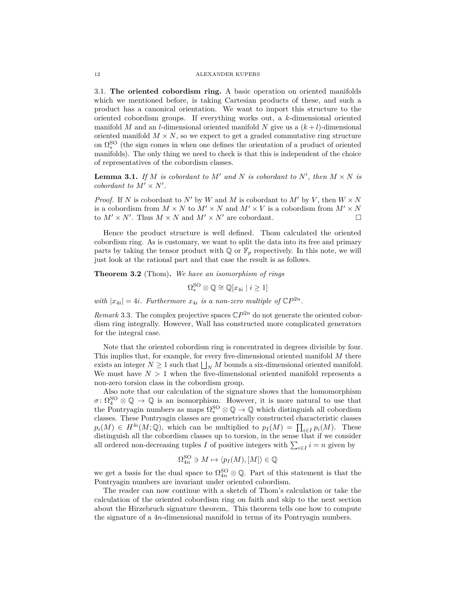3.1. **The oriented cobordism ring.** A basic operation on oriented manifolds which we mentioned before, is taking Cartesian products of these, and such a product has a canonical orientation. We want to import this structure to the oriented cobordism groups. If everything works out, a *k*-dimensional oriented manifold *M* and an *l*-dimensional oriented manifold *N* give us a  $(k+l)$ -dimensional oriented manifold  $M \times N$ , so we expect to get a graded commutative ring structure on  $\Omega_*^{SO}$  (the sign comes in when one defines the orientation of a product of oriented manifolds). The only thing we need to check is that this is independent of the choice of representatives of the cobordism classes.

**Lemma 3.1.** *If M is cobordant to*  $M'$  *and*  $N$  *is cobordant to*  $N'$ *, then*  $M \times N$  *is cobordant to*  $M' \times N'$ .

*Proof.* If *N* is cobordant to *N*<sup> $\prime$ </sup> by *W* and *M* is cobordant to *M*<sup> $\prime$ </sup> by *V*, then  $W \times N$ is a cobordism from  $M \times N$  to  $M' \times N$  and  $M' \times V$  is a cobordism from  $M' \times N$ to  $M' \times N'$ . Thus  $M \times N$  and  $M' \times N'$  are cobordant.

Hence the product structure is well defined. Thom calculated the oriented cobordism ring. As is customary, we want to split the data into its free and primary parts by taking the tensor product with  $\mathbb{Q}$  or  $\mathbb{F}_p$  respectively. In this note, we will just look at the rational part and that case the result is as follows.

**Theorem 3.2** (Thom)**.** *We have an isomorphism of rings*

 $\Omega_*^{\text{SO}} \otimes \mathbb{Q} \cong \mathbb{Q}[x_{4i} \mid i \geq 1]$ 

*with*  $|x_{4i}| = 4i$ *. Furthermore*  $x_{4i}$  *is a non-zero multiple of*  $\mathbb{C}P^{2n}$ *.* 

*Remark* 3.3. The complex projective spaces  $\mathbb{C}P^{2n}$  do not generate the oriented cobordism ring integrally. However, Wall has constructed more complicated generators for the integral case.

Note that the oriented cobordism ring is concentrated in degrees divisible by four. This implies that, for example, for every five-dimensional oriented manifold *M* there exists an integer  $N \geq 1$  such that  $\bigsqcup_N M$  bounds a six-dimensional oriented manifold. We must have  $N > 1$  when the five-dimensional oriented manifold represents a non-zero torsion class in the cobordism group.

Also note that our calculation of the signature shows that the homomorphism  $\sigma \colon \Omega_4^{\text{SO}} \otimes \mathbb{Q} \to \mathbb{Q}$  is an isomorphism. However, it is more natural to use that the Pontryagin numbers as maps  $\Omega_*^{SO}\otimes\mathbb{Q}\to\mathbb{Q}$  which distinguish all cobordism classes. These Pontryagin classes are geometrically constructed characteristic classes  $p_i(M) \in H^{4i}(M; \mathbb{Q})$ , which can be multiplied to  $p_I(M) = \prod_{i \in I} p_i(M)$ . These distinguish all the cobordism classes up to torsion, in the sense that if we consider all ordered non-decreasing tuples *I* of positive integers with  $\sum_{i \in I} i = n$  given by

$$
\Omega_{4n}^{\text{SO}} \ni M \mapsto \langle p_I(M), [M] \rangle \in \mathbb{Q}
$$

we get a basis for the dual space to  $\Omega_{4n}^{\text{SO}} \otimes \mathbb{Q}$ . Part of this statement is that the Pontryagin numbers are invariant under oriented cobordism.

The reader can now continue with a sketch of Thom's calculation or take the calculation of the oriented cobordism ring on faith and skip to the next section about the Hirzebruch signature theorem,. This theorem tells one how to compute the signature of a 4*n*-dimensional manifold in terms of its Pontryagin numbers.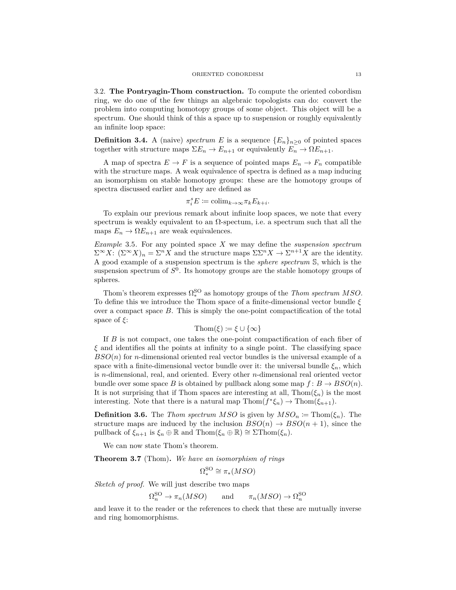3.2. **The Pontryagin-Thom construction.** To compute the oriented cobordism ring, we do one of the few things an algebraic topologists can do: convert the problem into computing homotopy groups of some object. This object will be a spectrum. One should think of this a space up to suspension or roughly equivalently an infinite loop space:

**Definition 3.4.** A (naive) *spectrum E* is a sequence  ${E_n}_{n>0}$  of pointed spaces together with structure maps  $\Sigma E_n \to E_{n+1}$  or equivalently  $E_n \to \Omega E_{n+1}$ .

A map of spectra  $E \to F$  is a sequence of pointed maps  $E_n \to F_n$  compatible with the structure maps. A weak equivalence of spectra is defined as a map inducing an isomorphism on stable homotopy groups: these are the homotopy groups of spectra discussed earlier and they are defined as

$$
\pi_i^s E := \text{colim}_{k \to \infty} \pi_k E_{k+i}.
$$

To explain our previous remark about infinite loop spaces, we note that every spectrum is weakly equivalent to an  $\Omega$ -spectum, i.e. a spectrum such that all the maps  $E_n \to \Omega E_{n+1}$  are weak equivalences.

*Example* 3.5*.* For any pointed space *X* we may define the *suspension spectrum*  $\Sigma^{\infty} X$ :  $(\Sigma^{\infty} X)_n = \Sigma^n X$  and the structure maps  $\Sigma \Sigma^n X \to \Sigma^{n+1} X$  are the identity. A good example of a suspension spectrum is the *sphere spectrum* S, which is the suspension spectrum of *S* 0 . Its homotopy groups are the stable homotopy groups of spheres.

Thom's theorem expresses  $\Omega_*^{SO}$  as homotopy groups of the *Thom spectrum MSO*. To define this we introduce the Thom space of a finite-dimensional vector bundle *ξ* over a compact space *B*. This is simply the one-point compactification of the total space of *ξ*:

$$
\mathrm{Thom}(\xi) \coloneqq \xi \cup \{\infty\}
$$

If *B* is not compact, one takes the one-point compactification of each fiber of *ξ* and identifies all the points at infinity to a single point. The classifying space *BSO*(*n*) for *n*-dimensional oriented real vector bundles is the universal example of a space with a finite-dimensional vector bundle over it: the universal bundle  $\xi_n$ , which is *n*-dimensional, real, and oriented. Every other *n*-dimensional real oriented vector bundle over some space *B* is obtained by pullback along some map  $f: B \to BSO(n)$ . It is not surprising that if Thom spaces are interesting at all,  $\text{Thom}(\xi_n)$  is the most interesting. Note that there is a natural map  $\text{Thom}(f^*\xi_n) \to \text{Thom}(\xi_{n+1})$ .

**Definition 3.6.** The *Thom spectrum MSO* is given by  $MSO_n := \text{Thom}(\xi_n)$ . The structure maps are induced by the inclusion  $BSO(n) \rightarrow BSO(n+1)$ , since the pullback of  $\xi_{n+1}$  is  $\xi_n \oplus \mathbb{R}$  and Thom( $\xi_n \oplus \mathbb{R}$ ) ≅  $\Sigma$ Thom( $\xi_n$ ).

We can now state Thom's theorem.

**Theorem 3.7** (Thom)**.** *We have an isomorphism of rings*

$$
\Omega_*^{\rm SO}\cong\pi_*(MSO)
$$

*Sketch of proof.* We will just describe two maps

 $\Omega_n^{\text{SO}} \to \pi_n(MSO)$  and  $\pi_n(MSO) \to \Omega_n^{\text{SO}}$ 

and leave it to the reader or the references to check that these are mutually inverse and ring homomorphisms.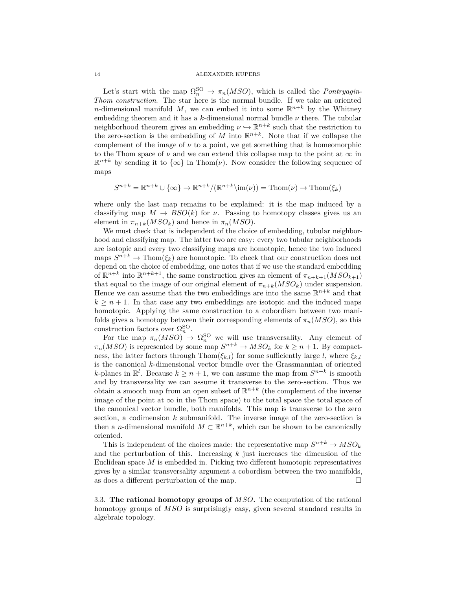Let's start with the map  $\Omega_n^{\text{SO}} \to \pi_n(MSO)$ , which is called the *Pontryagin*-*Thom construction*. The star here is the normal bundle. If we take an oriented *n*-dimensional manifold *M*, we can embed it into some  $\mathbb{R}^{n+k}$  by the Whitney embedding theorem and it has a *k*-dimensional normal bundle *ν* there. The tubular neighborhood theorem gives an embedding  $\nu \hookrightarrow \mathbb{R}^{n+k}$  such that the restriction to the zero-section is the embedding of *M* into  $\mathbb{R}^{n+k}$ . Note that if we collapse the complement of the image of  $\nu$  to a point, we get something that is homeomorphic to the Thom space of  $\nu$  and we can extend this collapse map to the point at  $\infty$  in  $\mathbb{R}^{n+k}$  by sending it to  $\{\infty\}$  in Thom(*v*). Now consider the following sequence of maps

$$
S^{n+k} = \mathbb{R}^{n+k} \cup \{\infty\} \to \mathbb{R}^{n+k}/(\mathbb{R}^{n+k}\setminus \text{im}(\nu)) = \text{Thom}(\nu) \to \text{Thom}(\xi_k)
$$

where only the last map remains to be explained: it is the map induced by a classifying map  $M \to BSO(k)$  for *ν*. Passing to homotopy classes gives us an element in  $\pi_{n+k}(MSO_k)$  and hence in  $\pi_n(MSO)$ .

We must check that is independent of the choice of embedding, tubular neighborhood and classifying map. The latter two are easy: every two tubular neighborhoods are isotopic and every two classifying maps are homotopic, hence the two induced maps  $S^{n+k} \to \text{Thom}(\xi_k)$  are homotopic. To check that our construction does not depend on the choice of embedding, one notes that if we use the standard embedding of  $\mathbb{R}^{n+k}$  into  $\mathbb{R}^{n+k+1}$ , the same construction gives an element of  $\pi_{n+k+1}(MSO_{k+1})$ that equal to the image of our original element of  $\pi_{n+k}(MSO_k)$  under suspension. Hence we can assume that the two embeddings are into the same  $\mathbb{R}^{n+k}$  and that  $k \geq n+1$ . In that case any two embeddings are isotopic and the induced maps homotopic. Applying the same construction to a cobordism between two manifolds gives a homotopy between their corresponding elements of  $\pi_n(MSO)$ , so this construction factors over  $\Omega_n^{\text{SO}}$ .

For the map  $\pi_n(MSO) \to \Omega_n^{SO}$  we will use transversality. Any element of  $\pi_n(MSO)$  is represented by some map  $S^{n+k} \to MSO_k$  for  $k \geq n+1$ . By compactness, the latter factors through Thom( $\xi_{k,l}$ ) for some sufficiently large *l*, where  $\xi_{k,l}$ is the canonical *k*-dimensional vector bundle over the Grassmannian of oriented *k*-planes in  $\mathbb{R}^l$ . Because  $k \geq n+1$ , we can assume the map from  $S^{n+k}$  is smooth and by transversality we can assume it transverse to the zero-section. Thus we obtain a smooth map from an open subset of  $\mathbb{R}^{n+k}$  (the complement of the inverse image of the point at  $\infty$  in the Thom space) to the total space the total space of the canonical vector bundle, both manifolds. This map is transverse to the zero section, a codimension *k* submanifold. The inverse image of the zero-section is then a *n*-dimensional manifold  $M \subset \mathbb{R}^{n+k}$ , which can be shown to be canonically oriented.

This is independent of the choices made: the representative map  $S^{n+k} \to MSO_k$ and the perturbation of this. Increasing *k* just increases the dimension of the Euclidean space *M* is embedded in. Picking two different homotopic representatives gives by a similar transversality argument a cobordism between the two manifolds, as does a different perturbation of the map.

3.3. **The rational homotopy groups of** *MSO***.** The computation of the rational homotopy groups of *MSO* is surprisingly easy, given several standard results in algebraic topology.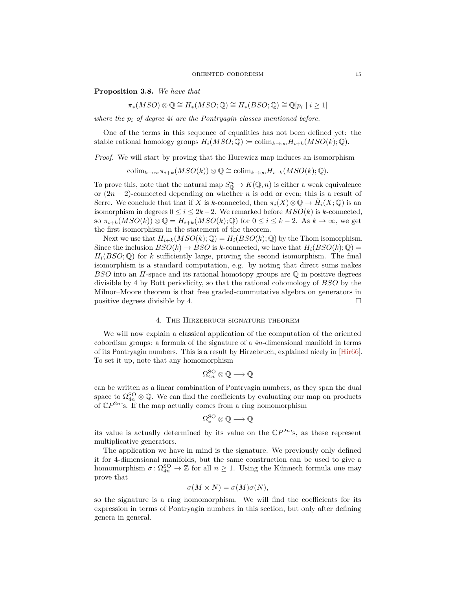<span id="page-14-0"></span>**Proposition 3.8.** *We have that*

$$
\pi_*(MSO) \otimes \mathbb{Q} \cong H_*(MSO; \mathbb{Q}) \cong H_*(BSO; \mathbb{Q}) \cong \mathbb{Q}[p_i \mid i \geq 1]
$$

*where the p<sup>i</sup> of degree* 4*i are the Pontryagin classes mentioned before.*

One of the terms in this sequence of equalities has not been defined yet: the stable rational homology groups  $H_i(MSO; \mathbb{Q}) \coloneqq \text{colim}_{k \to \infty} H_{i+k}(MSO(k); \mathbb{Q}).$ 

*Proof.* We will start by proving that the Hurewicz map induces an isomorphism

 $\operatorname{colim}_{k\to\infty}\pi_{i+k}(MSO(k))\otimes\mathbb{Q}\cong \operatorname{colim}_{k\to\infty}H_{i+k}(MSO(k);\mathbb{Q}).$ 

To prove this, note that the natural map  $S^n_{\mathbb{Q}} \to K(\mathbb{Q}, n)$  is either a weak equivalence or (2*n* − 2)-connected depending on whether *n* is odd or even; this is a result of Serre. We conclude that that if *X* is *k*-connected, then  $\pi_i(X) \otimes \mathbb{Q} \to \tilde{H}_i(X; \mathbb{Q})$  is an isomorphism in degrees  $0 \leq i \leq 2k-2$ . We remarked before  $MSO(k)$  is *k*-connected, so  $\pi_{i+k}(MSO(k)) \otimes \mathbb{Q} = H_{i+k}(MSO(k); \mathbb{Q})$  for  $0 \leq i \leq k-2$ . As  $k \to \infty$ , we get the first isomorphism in the statement of the theorem.

Next we use that  $H_{i+k}(MSO(k); \mathbb{Q}) = H_i(BSO(k); \mathbb{Q})$  by the Thom isomorphism. Since the inclusion  $BSO(k) \rightarrow BSO$  is *k*-connected, we have that  $H_i(BSO(k); \mathbb{Q}) =$  $H_i(BSO;\mathbb{Q})$  for *k* sufficiently large, proving the second isomorphism. The final isomorphism is a standard computation, e.g. by noting that direct sums makes *BSO* into an *H*-space and its rational homotopy groups are Q in positive degrees divisible by 4 by Bott periodicity, so that the rational cohomology of *BSO* by the Milnor–Moore theorem is that free graded-commutative algebra on generators in positive degrees divisible by 4.  $\Box$ 

## 4. The Hirzebruch signature theorem

We will now explain a classical application of the computation of the oriented cobordism groups: a formula of the signature of a 4*n*-dimensional manifold in terms of its Pontryagin numbers. This is a result by Hirzebruch, explained nicely in [\[Hir66\]](#page-18-6). To set it up, note that any homomorphism

$$
\Omega_{4n}^{{\rm SO}}\otimes \mathbb{Q}\longrightarrow \mathbb{Q}
$$

can be written as a linear combination of Pontryagin numbers, as they span the dual space to  $\Omega_{4n}^{\text{SO}} \otimes \mathbb{Q}$ . We can find the coefficients by evaluating our map on products of  $\mathbb{C}P^{2n}$ 's. If the map actually comes from a ring homomorphism

$$
\Omega^\mathrm{SO}_* \otimes \mathbb{Q} \longrightarrow \mathbb{Q}
$$

its value is actually determined by its value on the  $\mathbb{C}P^{2n}$ 's, as these represent multiplicative generators.

The application we have in mind is the signature. We previously only defined it for 4-dimensional manifolds, but the same construction can be used to give a homomorphism  $\sigma: \Omega_{4n}^{SO} \to \mathbb{Z}$  for all  $n \geq 1$ . Using the Künneth formula one may prove that

$$
\sigma(M \times N) = \sigma(M)\sigma(N),
$$

so the signature is a ring homomorphism. We will find the coefficients for its expression in terms of Pontryagin numbers in this section, but only after defining genera in general.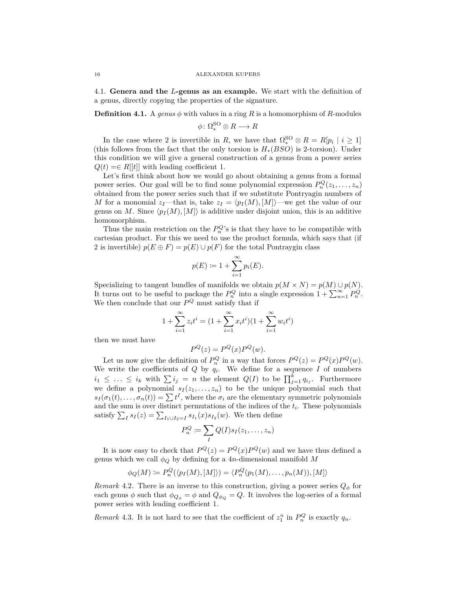4.1. **Genera and the** *L***-genus as an example.** We start with the definition of a genus, directly copying the properties of the signature.

**Definition 4.1.** A genus  $\phi$  with values in a ring R is a homomorphism of R-modules

$$
\phi \colon \Omega_*^{\text{SO}} \otimes R \longrightarrow R
$$

In the case where 2 is invertible in *R*, we have that  $\Omega_*^{SO} \otimes R = R[p_i \mid i \geq 1]$ (this follows from the fact that the only torsion is *H*∗(*BSO*) is 2-torsion). Under this condition we will give a general construction of a genus from a power series  $Q(t) = \in R[[t]]$  with leading coefficient 1.

Let's first think about how we would go about obtaining a genus from a formal power series. Our goal will be to find some polynomial expression  $P_n^Q(z_1, \ldots, z_n)$ obtained from the power series such that if we substitute Pontryagin numbers of *M* for a monomial  $z_I$ —that is, take  $z_I = \langle p_I(M), [M] \rangle$ —we get the value of our genus on *M*. Since  $\langle p_I(M), [M] \rangle$  is additive under disjoint union, this is an additive homomorphism.

Thus the main restriction on the  $P_n^Q$ 's is that they have to be compatible with cartesian product. For this we need to use the product formula, which says that (if 2 is invertible)  $p(E \oplus F) = p(E) \cup p(F)$  for the total Pontraygin class

$$
p(E) := 1 + \sum_{i=1}^{\infty} p_i(E).
$$

Specializing to tangent bundles of manifolds we obtain  $p(M \times N) = p(M) \cup p(N)$ . It turns out to be useful to package the  $P_n^Q$  into a single expression  $1 + \sum_{n=1}^{\infty} P_n^Q$ . We then conclude that our  $P^Q$  must satisfy that if

$$
1 + \sum_{i=1}^{\infty} z_i t^i = (1 + \sum_{i=1}^{\infty} x_i t^i)(1 + \sum_{i=1}^{\infty} w_i t^i)
$$

then we must have

$$
P^Q(z) = P^Q(x)P^Q(w).
$$

Let us now give the definition of  $P_n^Q$  in a way that forces  $P^Q(z) = P^Q(x)P^Q(w)$ . We write the coefficients of  $Q$  by  $q_i$ . We define for a sequence  $I$  of numbers  $i_1 \leq \ldots \leq i_k$  with  $\sum i_j = n$  the element  $Q(I)$  to be  $\prod_{j=1}^k q_{i_j}$ . Furthermore we define a polynomial  $s_I(z_1, \ldots, z_n)$  to be the unique polynomial such that  $s_I(\sigma_1(t), \ldots, \sigma_n(t)) = \sum t^I$ , where the  $\sigma_i$  are the elementary symmetric polynomials and the sum is over distinct permutations of the indices of the *t<sup>i</sup>* . These polynomials satisfy  $\sum_{I} s_I(z) = \sum_{I_1 \cup I_2 = I} s_{I_1}(x) s_{I_2}(w)$ . We then define

$$
P_n^Q \coloneqq \sum_I Q(I)s_I(z_1,\ldots,z_n)
$$

It is now easy to check that  $P^Q(z) = P^Q(x)P^Q(w)$  and we have thus defined a genus which we call  $\phi_Q$  by defining for a 4*n*-dimensional manifold *M* 

$$
\phi_Q(M) \coloneqq P_n^Q(\langle p_I(M), [M] \rangle) = \langle P_n^Q(p_1(M), \dots, p_n(M)), [M] \rangle
$$

*Remark* 4.2. There is an inverse to this construction, giving a power series  $Q_{\phi}$  for each genus  $\phi$  such that  $\phi_{Q_{\phi}} = \phi$  and  $Q_{\phi_Q} = Q$ . It involves the log-series of a formal power series with leading coefficient 1.

*Remark* 4.3. It is not hard to see that the coefficient of  $z_1^n$  in  $P_n^Q$  is exactly  $q_n$ .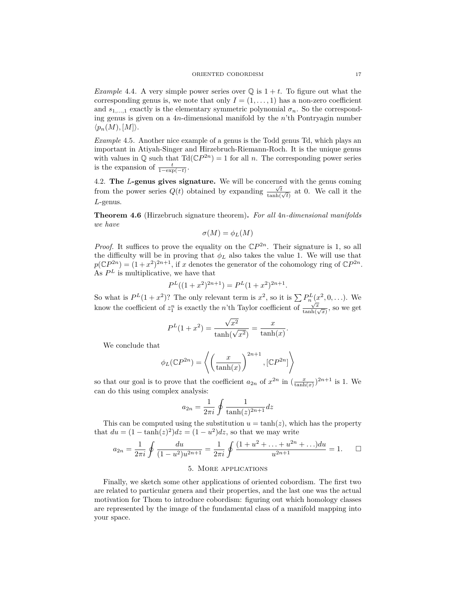*Example* 4.4. A very simple power series over  $\mathbb{Q}$  is  $1 + t$ . To figure out what the corresponding genus is, we note that only  $I = (1, \ldots, 1)$  has a non-zero coefficient and  $s_{1,\dots,1}$  exactly is the elementary symmetric polynomial  $\sigma_n$ . So the corresponding genus is given on a 4*n*-dimensional manifold by the *n*'th Pontryagin number  $\langle p_n(M), [M] \rangle$ .

*Example* 4.5*.* Another nice example of a genus is the Todd genus Td, which plays an important in Atiyah-Singer and Hirzebruch-Riemann-Roch. It is the unique genus with values in  $\mathbb Q$  such that  $\text{Td}(\mathbb{C}P^{2n}) = 1$  for all *n*. The corresponding power series is the expansion of  $\frac{t}{1-\exp(-t)}$ .

4.2. The *L***-genus gives signature.** We will be concerned with the genus coming from the power series  $Q(t)$  obtained by expanding  $\frac{\sqrt{t}}{\tanh(\sqrt{t})}$  at 0. We call it the *L*-genus.

**Theorem 4.6** (Hirzebruch signature theorem)**.** *For all* 4*n-dimensional manifolds we have*

$$
\sigma(M) = \phi_L(M)
$$

*Proof.* It suffices to prove the equality on the  $\mathbb{C}P^{2n}$ . Their signature is 1, so all the difficulty will be in proving that  $\phi_L$  also takes the value 1. We will use that  $p(\mathbb{C}P^{2n}) = (1+x^2)^{2n+1}$ , if *x* denotes the generator of the cohomology ring of  $\mathbb{C}P^{2n}$ . As  $P<sup>L</sup>$  is multiplicative, we have that

$$
P^{L}((1+x^{2})^{2n+1}) = P^{L}(1+x^{2})^{2n+1}.
$$

So what is  $P^{L}(1 + x^{2})$ ? The only relevant term is  $x^{2}$ , so it is  $\sum P_{n}^{L}(x^{2},0,...)$ . We know the coefficient of  $z_1^n$  is exactly the *n*'th Taylor coefficient of  $\frac{\sqrt{x}}{\tanh(\sqrt{x})}$ , so we get

$$
P^{L}(1+x^{2}) = \frac{\sqrt{x^{2}}}{\tanh(\sqrt{x^{2}})} = \frac{x}{\tanh(x)}.
$$

We conclude that

$$
\phi_L(\mathbb{C}P^{2n}) = \left\langle \left(\frac{x}{\tanh(x)}\right)^{2n+1}, [\mathbb{C}P^{2n}] \right\rangle
$$

so that our goal is to prove that the coefficient  $a_{2n}$  of  $x^{2n}$  in  $\left(\frac{x}{\tanh(x)}\right)^{2n+1}$  is 1. We can do this using complex analysis:

$$
a_{2n} = \frac{1}{2\pi i} \oint \frac{1}{\tanh(z)^{2n+1}} dz
$$

This can be computed using the substitution  $u = \tanh(z)$ , which has the property that  $du = (1 - \tanh(z)^2)dz = (1 - u^2)dz$ , so that we may write

$$
a_{2n} = \frac{1}{2\pi i} \oint \frac{du}{(1 - u^2)u^{2n+1}} = \frac{1}{2\pi i} \oint \frac{(1 + u^2 + \dots + u^{2n} + \dots)du}{u^{2n+1}} = 1. \quad \Box
$$

# 5. More applications

Finally, we sketch some other applications of oriented cobordism. The first two are related to particular genera and their properties, and the last one was the actual motivation for Thom to introduce cobordism: figuring out which homology classes are represented by the image of the fundamental class of a manifold mapping into your space.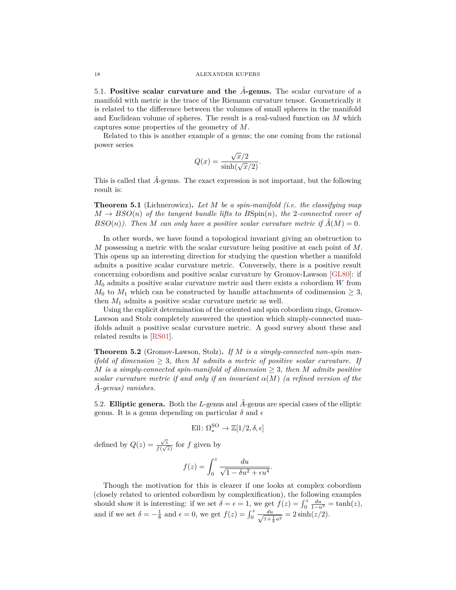<span id="page-17-0"></span>5.1. **Positive scalar curvature and the** *A*ˆ**-genus.** The scalar curvature of a manifold with metric is the trace of the Riemann curvature tensor. Geometrically it is related to the difference between the volumes of small spheres in the manifold and Euclidean volume of spheres. The result is a real-valued function on *M* which captures some properties of the geometry of *M*.

Related to this is another example of a genus; the one coming from the rational power series

$$
Q(x) = \frac{\sqrt{x/2}}{\sinh(\sqrt{x/2})}.
$$

This is called that  $\hat{A}$ -genus. The exact expression is not important, but the following result is:

**Theorem 5.1** (Lichnerowicz)**.** *Let M be a spin-manifold (i.e. the classifying map*  $M \rightarrow BSO(n)$  *of the tangent bundle lifts to*  $BSpin(n)$ *, the* 2*-connected cover of BSO*(*n*)*). Then M can only have a positive scalar curvature metric if*  $\hat{A}(M) = 0$ *.* 

In other words, we have found a topological invariant giving an obstruction to *M* possessing a metric with the scalar curvature being positive at each point of *M*. This opens up an interesting direction for studying the question whether a manifold admits a positive scalar curvature metric. Conversely, there is a positive result concerning cobordism and positive scalar curvature by Gromov-Lawson [\[GL80\]](#page-18-7): if *M*<sup>0</sup> admits a positive scalar curvature metric and there exists a cobordism *W* from  $M_0$  to  $M_1$  which can be constructed by handle attachments of codimension  $\geq 3$ , then  $M_1$  admits a positive scalar curvature metric as well.

Using the explicit determination of the oriented and spin cobordism rings, Gromov-Lawson and Stolz completely answered the question which simply-connected manifolds admit a positive scalar curvature metric. A good survey about these and related results is [\[RS01\]](#page-18-8).

**Theorem 5.2** (Gromov-Lawson, Stolz)**.** *If M is a simply-connected non-spin manifold of dimension*  $\geq$  3*, then M admits a metric of positive scalar curvature. If M* is a simply-connected spin-manifold of dimension  $\geq$  3*, then M* admits positive *scalar curvature metric if and only if an invariant*  $\alpha(M)$  *(a refined version of the A*ˆ*-genus) vanishes.*

5.2. **Elliptic genera.** Both the *L*-genus and  $\hat{A}$ -genus are special cases of the elliptic genus. It is a genus depending on particular  $\delta$  and  $\epsilon$ 

$$
\text{Ell}\colon \Omega_*^{\text{SO}} \to \mathbb{Z}[1/2, \delta, \epsilon]
$$

defined by  $Q(z) = \frac{\sqrt{z}}{f(z)}$  $\frac{\sqrt{z}}{f(\sqrt{z})}$  for *f* given by

$$
f(z) = \int_0^z \frac{du}{\sqrt{1 - \delta u^2 + \epsilon u^4}}
$$

*.*

Though the motivation for this is clearer if one looks at complex cobordism (closely related to oriented cobordism by complexification), the following examples should show it is interesting: if we set  $\delta = \epsilon = 1$ , we get  $f(z) = \int_0^z \frac{du}{1-u^2} = \tanh(z)$ , and if we set  $\delta = -\frac{1}{8}$  and  $\epsilon = 0$ , we get  $f(z) = \int_0^z \frac{du}{\sqrt{1+z^2}}$  $\frac{du}{1+\frac{1}{8}u^2} = 2\sinh(z/2).$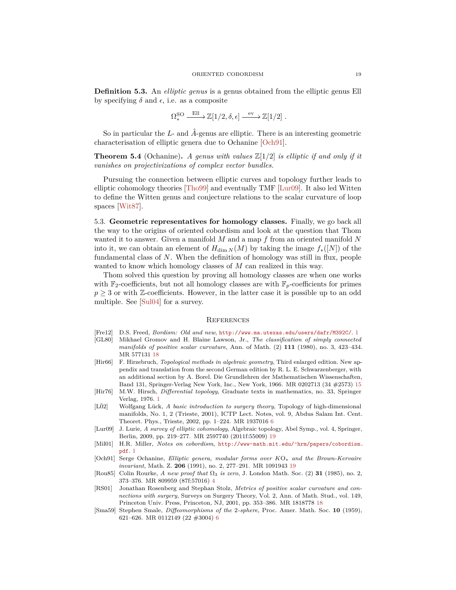<span id="page-18-11"></span>**Definition 5.3.** An *elliptic genus* is a genus obtained from the elliptic genus Ell by specifying  $\delta$  and  $\epsilon$ , i.e. as a composite

$$
\Omega_*^{\text{SO}} \xrightarrow{\text{Ell}} \mathbb{Z}[1/2, \delta, \epsilon] \xrightarrow{\text{ev}} \mathbb{Z}[1/2] .
$$

So in particular the *L*- and *A*ˆ-genus are elliptic. There is an interesting geometric characterisation of elliptic genera due to Ochanine [\[Och91\]](#page-18-9).

**Theorem 5.4** (Ochanine). A genus with values  $\mathbb{Z}[1/2]$  is elliptic if and only if it *vanishes on projectivizations of complex vector bundles.*

Pursuing the connection between elliptic curves and topology further leads to elliptic cohomology theories [\[Tho99\]](#page-19-4) and eventually TMF [\[Lur09\]](#page-18-10). It also led Witten to define the Witten genus and conjecture relations to the scalar curvature of loop spaces [\[Wit87\]](#page-19-5).

5.3. **Geometric representatives for homology classes.** Finally, we go back all the way to the origins of oriented cobordism and look at the question that Thom wanted it to answer. Given a manifold *M* and a map *f* from an oriented manifold *N* into it, we can obtain an element of  $H_{\dim N}(M)$  by taking the image  $f_*(N)$  of the fundamental class of *N*. When the definition of homology was still in flux, people wanted to know which homology classes of *M* can realized in this way.

Thom solved this question by proving all homology classes are when one works with  $\mathbb{F}_2$ -coefficients, but not all homology classes are with  $\mathbb{F}_p$ -coefficients for primes  $p \geq 3$  or with Z-coefficients. However, in the latter case it is possible up to an odd multiple. See [\[Sul04\]](#page-19-6) for a survey.

### **REFERENCES**

- <span id="page-18-1"></span>[Fre12] D.S. Freed, *Bordism: Old and new*, <http://www.ma.utexas.edu/users/dafr/M392C/>. [1](#page-0-0)
- <span id="page-18-7"></span>[GL80] Mikhael Gromov and H. Blaine Lawson, Jr., *The classification of simply connected manifolds of positive scalar curvature*, Ann. of Math. (2) **111** (1980), no. 3, 423–434. MR 577131 [18](#page-17-0)
- <span id="page-18-6"></span>[Hir66] F. Hirzebruch, *Topological methods in algebraic geometry*, Third enlarged edition. New appendix and translation from the second German edition by R. L. E. Schwarzenberger, with an additional section by A. Borel. Die Grundlehren der Mathematischen Wissenschaften, Band 131, Springer-Verlag New York, Inc., New York, 1966. MR 0202713 (34 #2573) [15](#page-14-0)
- <span id="page-18-2"></span>[Hir76] M.W. Hirsch, *Differential topology*, Graduate texts in mathematics, no. 33, Springer Verlag, 1976. [1](#page-0-0)
- <span id="page-18-5"></span>[LÖ2] Wolfgang Lück, *A basic introduction to surgery theory*, Topology of high-dimensional manifolds, No. 1, 2 (Trieste, 2001), ICTP Lect. Notes, vol. 9, Abdus Salam Int. Cent. Theoret. Phys., Trieste, 2002, pp. 1–224. MR 1937016 [6](#page-5-2)
- <span id="page-18-10"></span>[Lur09] J. Lurie, *A survey of elliptic cohomology*, Algebraic topology, Abel Symp., vol. 4, Springer, Berlin, 2009, pp. 219–277. MR 2597740 (2011f:55009) [19](#page-18-11)
- <span id="page-18-0"></span>[Mil01] H.R. Miller, *Notes on cobordism*, [http://www-math.mit.edu/˜hrm/papers/cobordism.](http://www-math.mit.edu/~hrm/papers/cobordism.pdf) [pdf](http://www-math.mit.edu/~hrm/papers/cobordism.pdf). [1](#page-0-0)
- <span id="page-18-9"></span>[Och91] Serge Ochanine, *Elliptic genera, modular forms over K*O<sup>∗</sup> *and the Brown-Kervaire invariant*, Math. Z. **206** (1991), no. 2, 277–291. MR 1091943 [19](#page-18-11)
- <span id="page-18-3"></span>[Rou85] Colin Rourke, *A new proof that* Ω<sup>3</sup> *is zero*, J. London Math. Soc. (2) **31** (1985), no. 2, 373–376. MR 809959 (87f:57016) [4](#page-3-1)
- <span id="page-18-8"></span>[RS01] Jonathan Rosenberg and Stephan Stolz, *Metrics of positive scalar curvature and connections with surgery*, Surveys on Surgery Theory, Vol. 2, Ann. of Math. Stud., vol. 149, Princeton Univ. Press, Princeton, NJ, 2001, pp. 353–386. MR 1818778 [18](#page-17-0)
- <span id="page-18-4"></span>[Sma59] Stephen Smale, *Diffeomorphisms of the* 2*-sphere*, Proc. Amer. Math. Soc. **10** (1959), 621–626. MR 0112149 (22 #3004) [6](#page-5-2)